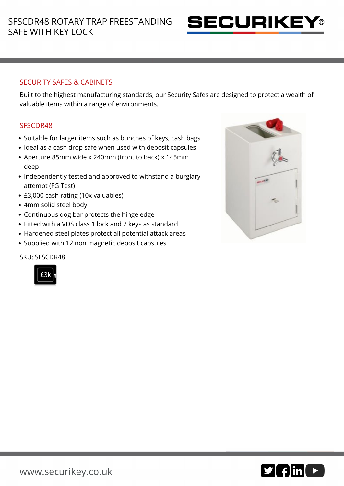

# SECURITY SAFES & CABINETS

Built to the highest manufacturing standards, our Security Safes are designed to protect a wealth of valuable items within a range of environments.

### SFSCDR48

- Suitable for larger items such as bunches of keys, cash bags
- Ideal as a cash drop safe when used with deposit capsules
- Aperture 85mm wide x 240mm (front to back) x 145mm deep
- Independently tested and approved to withstand a burglary attempt (FG Test)
- £3,000 cash rating (10x valuables)
- 4mm solid steel body
- Continuous dog bar protects the hinge edge
- Fitted with a VDS class 1 lock and 2 keys as standard
- Hardened steel plates protect all potential attack areas
- Supplied with 12 non magnetic deposit capsules

#### SKU: SFSCDR48





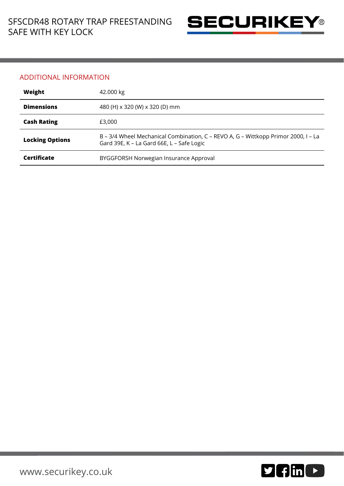

### ADDITIONAL INFORMATION

| Weight                 | 42.000 kg                                                                                                                       |
|------------------------|---------------------------------------------------------------------------------------------------------------------------------|
| <b>Dimensions</b>      | 480 (H) x 320 (W) x 320 (D) mm                                                                                                  |
| <b>Cash Rating</b>     | £3,000                                                                                                                          |
| <b>Locking Options</b> | B – 3/4 Wheel Mechanical Combination, C – REVO A, G – Wittkopp Primor 2000, I – La<br>Gard 39E, K - La Gard 66E, L - Safe Logic |
| Certificate            | BYGGFORSH Norwegian Insurance Approval                                                                                          |

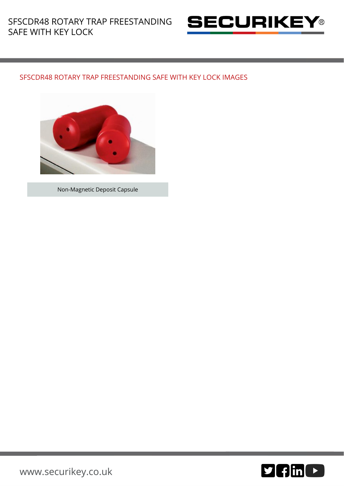

# SFSCDR48 ROTARY TRAP FREESTANDING SAFE WITH KEY LOCK IMAGES



Non-Magnetic Deposit Capsule